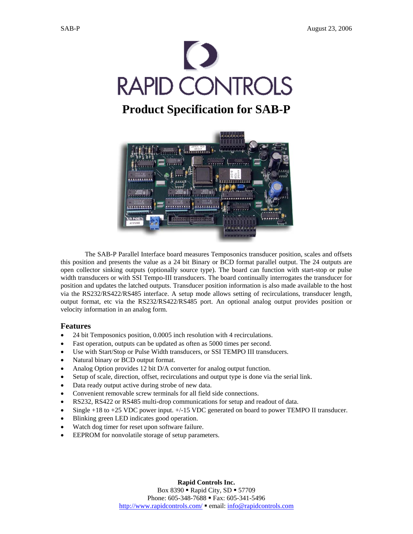

# **Product Specification for SAB-P**



The SAB-P Parallel Interface board measures Temposonics transducer position, scales and offsets this position and presents the value as a 24 bit Binary or BCD format parallel output. The 24 outputs are open collector sinking outputs (optionally source type). The board can function with start-stop or pulse width transducers or with SSI Tempo-III transducers. The board continually interrogates the transducer for position and updates the latched outputs. Transducer position information is also made available to the host via the RS232/RS422/RS485 interface. A setup mode allows setting of recirculations, transducer length, output format, etc via the RS232/RS422/RS485 port. An optional analog output provides position or velocity information in an analog form.

# **Features**

- 24 bit Temposonics position, 0.0005 inch resolution with 4 recirculations.
- Fast operation, outputs can be updated as often as 5000 times per second.
- Use with Start/Stop or Pulse Width transducers, or SSI TEMPO III transducers.
- Natural binary or BCD output format.
- Analog Option provides 12 bit D/A converter for analog output function.
- Setup of scale, direction, offset, recirculations and output type is done via the serial link.
- Data ready output active during strobe of new data.
- Convenient removable screw terminals for all field side connections.
- RS232, RS422 or RS485 multi-drop communications for setup and readout of data.
- Single  $+18$  to  $+25$  VDC power input.  $+/-15$  VDC generated on board to power TEMPO II transducer.
- Blinking green LED indicates good operation.
- Watch dog timer for reset upon software failure.
- EEPROM for nonvolatile storage of setup parameters.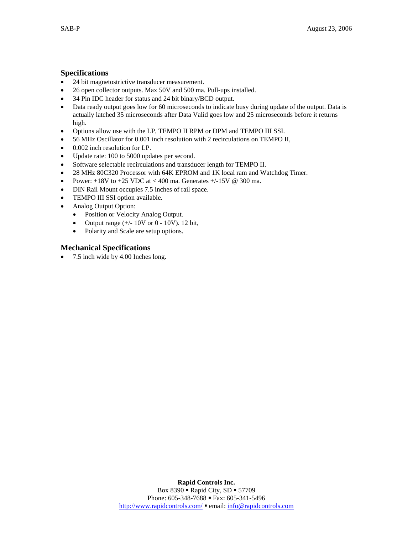# **Specifications**

- 24 bit magnetostrictive transducer measurement.
- 26 open collector outputs. Max 50V and 500 ma. Pull-ups installed.
- 34 Pin IDC header for status and 24 bit binary/BCD output.
- Data ready output goes low for 60 microseconds to indicate busy during update of the output. Data is actually latched 35 microseconds after Data Valid goes low and 25 microseconds before it returns high.
- Options allow use with the LP, TEMPO II RPM or DPM and TEMPO III SSI.
- 56 MHz Oscillator for 0.001 inch resolution with 2 recirculations on TEMPO II,
- 0.002 inch resolution for LP.
- Update rate: 100 to 5000 updates per second.
- Software selectable recirculations and transducer length for TEMPO II.
- 28 MHz 80C320 Processor with 64K EPROM and 1K local ram and Watchdog Timer.
- Power:  $+18V$  to  $+25$  VDC at < 400 ma. Generates  $+/-15V$  @ 300 ma.
- DIN Rail Mount occupies 7.5 inches of rail space.
- TEMPO III SSI option available.
- Analog Output Option:
	- Position or Velocity Analog Output.
	- Output range (+/- 10V or 0 10V). 12 bit,
	- Polarity and Scale are setup options.

# **Mechanical Specifications**

• 7.5 inch wide by 4.00 Inches long.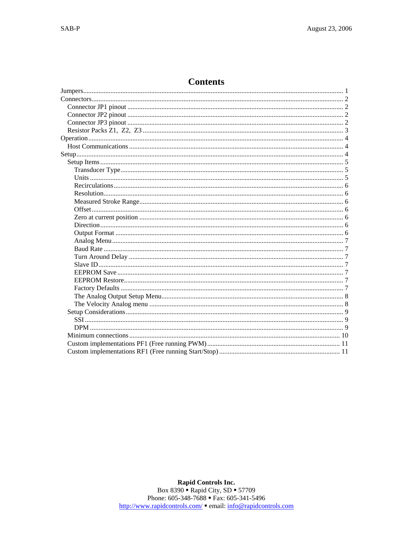# **Contents**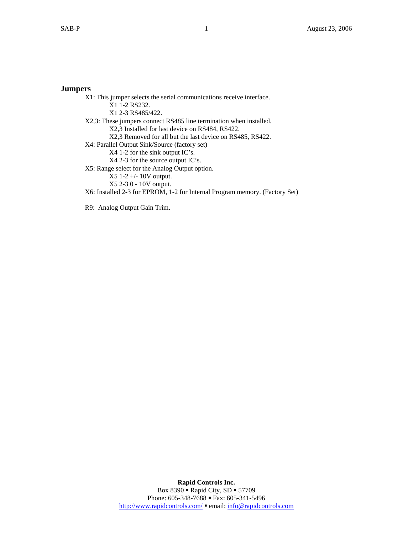# **Jumpers**

 X1: This jumper selects the serial communications receive interface. X1 1-2 RS232. X1 2-3 RS485/422. X2,3: These jumpers connect RS485 line termination when installed. X2,3 Installed for last device on RS484, RS422. X2,3 Removed for all but the last device on RS485, RS422. X4: Parallel Output Sink/Source (factory set) X4 1-2 for the sink output IC's. X4 2-3 for the source output IC's. X5: Range select for the Analog Output option. X5 1-2 +/- 10V output. X5 2-3 0 - 10V output. X6: Installed 2-3 for EPROM, 1-2 for Internal Program memory. (Factory Set) R9: Analog Output Gain Trim.

> **Rapid Controls Inc.**  Box 8390 **- Rapid City, SD = 57709** Phone: 605-348-7688 **Fax:** 605-341-5496 http://www.rapidcontrols.com/ email: info@rapidcontrols.com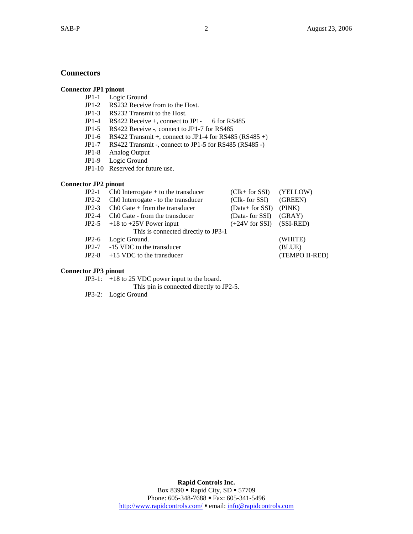# **Connectors**

# **Connector JP1 pinout**

- JP1-1 Logic Ground
- JP1-2 RS232 Receive from to the Host.
- JP1-3 RS232 Transmit to the Host.
- JP1-4 RS422 Receive +, connect to JP1- 6 for RS485
- JP1-5 RS422 Receive -, connect to JP1-7 for RS485
- JP1-6 RS422 Transmit +, connect to JP1-4 for RS485 (RS485 +)
- JP1-7 RS422 Transmit -, connect to JP1-5 for RS485 (RS485 -)<br>JP1-8 Analog Output
- Analog Output
- JP1-9 Logic Ground
- JP1-10 Reserved for future use.

# **Connector JP2 pinout**

| $JP2-1$ | $Ch0$ Interrogate $+$ to the transducer    | $(Clk + for SSI)$ $(YELLOW)$ |                |
|---------|--------------------------------------------|------------------------------|----------------|
| $JP2-2$ | Ch0 Interrogate - to the transducer        | (Clk- for SSI)               | (GREEN)        |
| $JP2-3$ | $ChO$ Gate $+$ from the transducer         | (Data+ for SSI) (PINK)       |                |
| $JP2-4$ | Ch <sub>0</sub> Gate - from the transducer | (Data- for SSI) (GRAY)       |                |
|         | JP2-5 +18 to +25V Power input              | $(+24V)$ for SSI $(SSI-RED)$ |                |
|         | This is connected directly to JP3-1        |                              |                |
|         | JP2-6 Logic Ground.                        |                              | (WHITE)        |
|         | JP2-7 -15 VDC to the transducer            |                              | (BLUE)         |
|         | $JP2-8$ +15 VDC to the transducer          |                              | (TEMPO II-RED) |
|         |                                            |                              |                |

# **Connector JP3 pinout**

JP3-1: +18 to 25 VDC power input to the board.

This pin is connected directly to JP2-5.

JP3-2: Logic Ground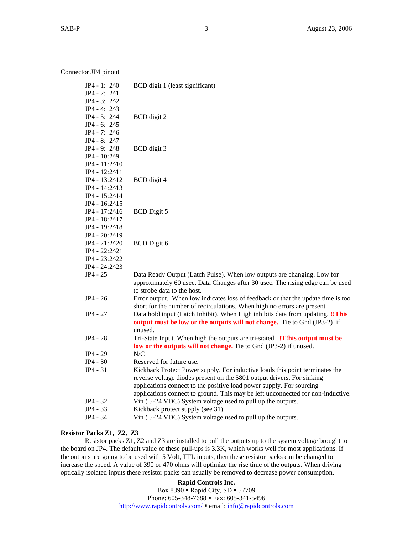Connector JP4 pinout

| $JP4 - 1: 2^0$<br>$JP4 - 2: 2^1$<br>$JP4 - 3: 2^2$ | BCD digit 1 (least significant)                                                                                                                                                                                                                                                                                   |
|----------------------------------------------------|-------------------------------------------------------------------------------------------------------------------------------------------------------------------------------------------------------------------------------------------------------------------------------------------------------------------|
| $JP4 - 4: 2^3$                                     |                                                                                                                                                                                                                                                                                                                   |
| $JP4 - 5: 2^4$                                     | BCD digit 2                                                                                                                                                                                                                                                                                                       |
| $JP4 - 6: 2^5$                                     |                                                                                                                                                                                                                                                                                                                   |
| $JP4 - 7: 2^6$                                     |                                                                                                                                                                                                                                                                                                                   |
| JP4 - 8: 2^7                                       |                                                                                                                                                                                                                                                                                                                   |
| JP4 - 9: $2^8$                                     | BCD digit 3                                                                                                                                                                                                                                                                                                       |
| JP4 - 10:2^9                                       |                                                                                                                                                                                                                                                                                                                   |
| JP4 - 11:2^10                                      |                                                                                                                                                                                                                                                                                                                   |
| JP4 - 12:2^11                                      |                                                                                                                                                                                                                                                                                                                   |
| JP4 - 13:2^12                                      | BCD digit 4                                                                                                                                                                                                                                                                                                       |
| $JP4 - 14:2^{\land}13$                             |                                                                                                                                                                                                                                                                                                                   |
| $JP4 - 15:2^{\wedge}14$                            |                                                                                                                                                                                                                                                                                                                   |
| $JP4 - 16:2^{\land}15$                             |                                                                                                                                                                                                                                                                                                                   |
| $JP4 - 17:2^{\land}16$                             | <b>BCD</b> Digit 5                                                                                                                                                                                                                                                                                                |
| JP4 - 18:2^17                                      |                                                                                                                                                                                                                                                                                                                   |
| JP4 - 19:2^18                                      |                                                                                                                                                                                                                                                                                                                   |
| JP4 - 20:2^19                                      |                                                                                                                                                                                                                                                                                                                   |
| JP4 - 21:2^20                                      | <b>BCD</b> Digit 6                                                                                                                                                                                                                                                                                                |
| JP4 - 22:2^21                                      |                                                                                                                                                                                                                                                                                                                   |
| JP4 - 23:2^22                                      |                                                                                                                                                                                                                                                                                                                   |
| $JP4 - 24:2^223$                                   |                                                                                                                                                                                                                                                                                                                   |
| JP4 - 25                                           | Data Ready Output (Latch Pulse). When low outputs are changing. Low for<br>approximately 60 usec. Data Changes after 30 usec. The rising edge can be used<br>to strobe data to the host.                                                                                                                          |
| $JP4 - 26$                                         | Error output. When low indicates loss of feedback or that the update time is too<br>short for the number of recirculations. When high no errors are present.                                                                                                                                                      |
| $JP4 - 27$                                         | Data hold input (Latch Inhibit). When High inhibits data from updating. !! This<br>output must be low or the outputs will not change. Tie to Gnd (JP3-2) if<br>unused.                                                                                                                                            |
| JP4 - 28                                           | Tri-State Input. When high the outputs are tri-stated. <b>!T!his output must be</b><br>low or the outputs will not change. Tie to Gnd (JP3-2) if unused.                                                                                                                                                          |
| JP4 - 29                                           | N/C                                                                                                                                                                                                                                                                                                               |
| JP4 - 30                                           | Reserved for future use.                                                                                                                                                                                                                                                                                          |
| JP4 - 31                                           | Kickback Protect Power supply. For inductive loads this point terminates the<br>reverse voltage diodes present on the 5801 output drivers. For sinking<br>applications connect to the positive load power supply. For sourcing<br>applications connect to ground. This may be left unconnected for non-inductive. |
| JP4 - 32                                           | Vin (5-24 VDC) System voltage used to pull up the outputs.                                                                                                                                                                                                                                                        |
| JP4 - 33                                           | Kickback protect supply (see 31)                                                                                                                                                                                                                                                                                  |
| JP4 - 34                                           | Vin (5-24 VDC) System voltage used to pull up the outputs.                                                                                                                                                                                                                                                        |
|                                                    |                                                                                                                                                                                                                                                                                                                   |

## **Resistor Packs Z1, Z2, Z3**

 Resistor packs Z1, Z2 and Z3 are installed to pull the outputs up to the system voltage brought to the board on JP4. The default value of these pull-ups is 3.3K, which works well for most applications. If the outputs are going to be used with 5 Volt, TTL inputs, then these resistor packs can be changed to increase the speed. A value of 390 or 470 ohms will optimize the rise time of the outputs. When driving optically isolated inputs these resistor packs can usually be removed to decrease power consumption.

> **Rapid Controls Inc.**  Box 8390 **- Rapid City, SD = 57709** Phone: 605-348-7688 **Fax:** 605-341-5496 http://www.rapidcontrols.com/ email: info@rapidcontrols.com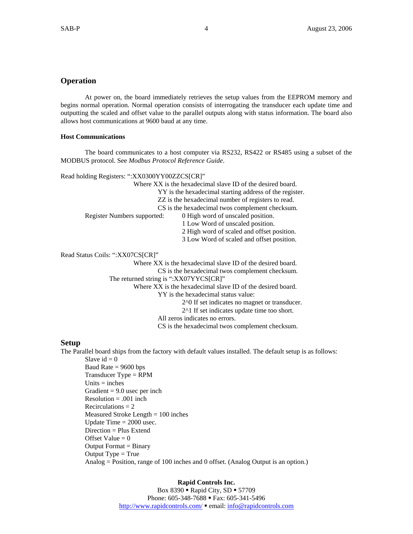# **Operation**

At power on, the board immediately retrieves the setup values from the EEPROM memory and begins normal operation. Normal operation consists of interrogating the transducer each update time and outputting the scaled and offset value to the parallel outputs along with status information. The board also allows host communications at 9600 baud at any time.

## **Host Communications**

The board communicates to a host computer via RS232, RS422 or RS485 using a subset of the MODBUS protocol. See *Modbus Protocol Reference Guide*.

Read holding Registers: ":XX0300YY00ZZCS[CR]"

|                                  | Where XX is the hexadecimal slave ID of the desired board. |
|----------------------------------|------------------------------------------------------------|
|                                  | YY is the hexadecimal starting address of the register.    |
|                                  | ZZ is the hexadecimal number of registers to read.         |
|                                  | CS is the hexadecimal twos complement checksum.            |
| Register Numbers supported:      | 0 High word of unscaled position.                          |
|                                  | 1 Low Word of unscaled position.                           |
|                                  | 2 High word of scaled and offset position.                 |
|                                  | 3 Low Word of scaled and offset position.                  |
| Read Status Coils: ":XX07CS[CR]" |                                                            |
|                                  | Where XX is the hexadecimal slave ID of the desired board. |
|                                  | CS is the hexadecimal twos complement checksum.            |
|                                  |                                                            |

The returned string is ":XX07YYCS[CR]"

Where XX is the hexadecimal slave ID of the desired board.

YY is the hexadecimal status value:

2^0 If set indicates no magnet or transducer.

2^1 If set indicates update time too short.

All zeros indicates no errors.

CS is the hexadecimal twos complement checksum.

# **Setup**

The Parallel board ships from the factory with default values installed. The default setup is as follows: Slave  $id = 0$ 

 Baud Rate = 9600 bps Transducer Type = RPM  $Units = inches$ Gradient  $= 9.0$  usec per inch  $Resolution = .001$  inch Recirculations  $= 2$  Measured Stroke Length = 100 inches Update Time = 2000 usec. Direction = Plus Extend Offset Value  $= 0$  Output Format = Binary Output  $Type = True$ Analog = Position, range of 100 inches and 0 offset. (Analog Output is an option.)

# **Rapid Controls Inc.**  Box  $8390$   $\blacksquare$  Rapid City, SD  $\blacksquare$  57709 Phone: 605-348-7688 • Fax: 605-341-5496 http://www.rapidcontrols.com/ email: info@rapidcontrols.com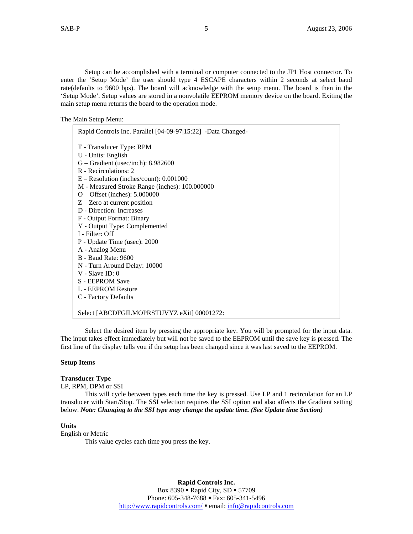Setup can be accomplished with a terminal or computer connected to the JP1 Host connector. To enter the 'Setup Mode' the user should type 4 ESCAPE characters within 2 seconds at select baud rate(defaults to 9600 bps). The board will acknowledge with the setup menu. The board is then in the 'Setup Mode'. Setup values are stored in a nonvolatile EEPROM memory device on the board. Exiting the main setup menu returns the board to the operation mode.

The Main Setup Menu:

| Rapid Controls Inc. Parallel [04-09-97 15:22] -Data Changed- |
|--------------------------------------------------------------|
| T - Transducer Type: RPM                                     |
| U - Units: English                                           |
| $G - Gradient$ (usec/inch): 8.982600                         |
| R - Recirculations: 2                                        |
| $E -$ Resolution (inches/count): $0.001000$                  |
| M - Measured Stroke Range (inches): 100.000000               |
| $O -$ Offset (inches): 5.000000                              |
| $Z -$ Zero at current position                               |
| D - Direction: Increases                                     |
| F - Output Format: Binary                                    |
| Y - Output Type: Complemented                                |
| I - Filter: Off                                              |
| P - Update Time (usec): 2000                                 |
| A - Analog Menu<br><b>B</b> - Baud Rate: 9600                |
| N - Turn Around Delay: 10000                                 |
| $V - Slave ID: 0$                                            |
| S - EEPROM Save                                              |
| L - EEPROM Restore                                           |
| C - Factory Defaults                                         |
|                                                              |
| Select [ABCDFGILMOPRSTUVYZ eXit] 00001272:                   |

Select the desired item by pressing the appropriate key. You will be prompted for the input data. The input takes effect immediately but will not be saved to the EEPROM until the save key is pressed. The first line of the display tells you if the setup has been changed since it was last saved to the EEPROM.

#### **Setup Items**

# **Transducer Type**

# LP, RPM, DPM or SSI

This will cycle between types each time the key is pressed. Use LP and 1 recirculation for an LP transducer with Start/Stop. The SSI selection requires the SSI option and also affects the Gradient setting below. *Note: Changing to the SSI type may change the update time. (See Update time Section)* 

#### **Units**

# English or Metric

This value cycles each time you press the key.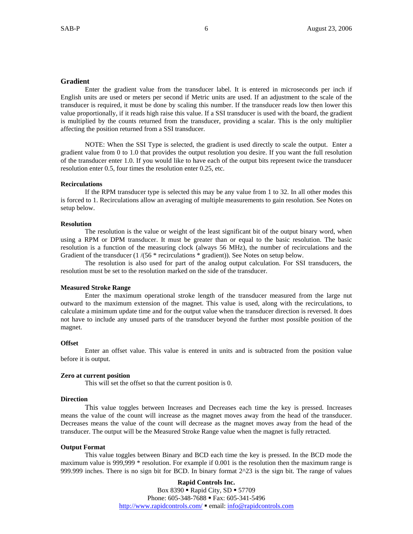## **Gradient**

Enter the gradient value from the transducer label. It is entered in microseconds per inch if English units are used or meters per second if Metric units are used. If an adjustment to the scale of the transducer is required, it must be done by scaling this number. If the transducer reads low then lower this value proportionally, if it reads high raise this value. If a SSI transducer is used with the board, the gradient is multiplied by the counts returned from the transducer, providing a scalar. This is the only multiplier affecting the position returned from a SSI transducer.

NOTE: When the SSI Type is selected, the gradient is used directly to scale the output. Enter a gradient value from 0 to 1.0 that provides the output resolution you desire. If you want the full resolution of the transducer enter 1.0. If you would like to have each of the output bits represent twice the transducer resolution enter 0.5, four times the resolution enter 0.25, etc.

#### **Recirculations**

If the RPM transducer type is selected this may be any value from 1 to 32. In all other modes this is forced to 1. Recirculations allow an averaging of multiple measurements to gain resolution. See Notes on setup below.

#### **Resolution**

The resolution is the value or weight of the least significant bit of the output binary word, when using a RPM or DPM transducer. It must be greater than or equal to the basic resolution. The basic resolution is a function of the measuring clock (always 56 MHz), the number of recirculations and the Gradient of the transducer (1 /(56  $*$  recirculations  $*$  gradient)). See Notes on setup below.

The resolution is also used for part of the analog output calculation. For SSI transducers, the resolution must be set to the resolution marked on the side of the transducer.

#### **Measured Stroke Range**

Enter the maximum operational stroke length of the transducer measured from the large nut outward to the maximum extension of the magnet. This value is used, along with the recirculations, to calculate a minimum update time and for the output value when the transducer direction is reversed. It does not have to include any unused parts of the transducer beyond the further most possible position of the magnet.

#### **Offset**

Enter an offset value. This value is entered in units and is subtracted from the position value before it is output.

#### **Zero at current position**

This will set the offset so that the current position is 0.

#### **Direction**

This value toggles between Increases and Decreases each time the key is pressed. Increases means the value of the count will increase as the magnet moves away from the head of the transducer. Decreases means the value of the count will decrease as the magnet moves away from the head of the transducer. The output will be the Measured Stroke Range value when the magnet is fully retracted.

#### **Output Format**

This value toggles between Binary and BCD each time the key is pressed. In the BCD mode the maximum value is 999,999 \* resolution. For example if 0.001 is the resolution then the maximum range is 999.999 inches. There is no sign bit for BCD. In binary format 2^23 is the sign bit. The range of values

> **Rapid Controls Inc.**  Box  $8390$   $\blacksquare$  Rapid City, SD  $\blacksquare$  57709 Phone: 605-348-7688 • Fax: 605-341-5496 http://www.rapidcontrols.com/ email: info@rapidcontrols.com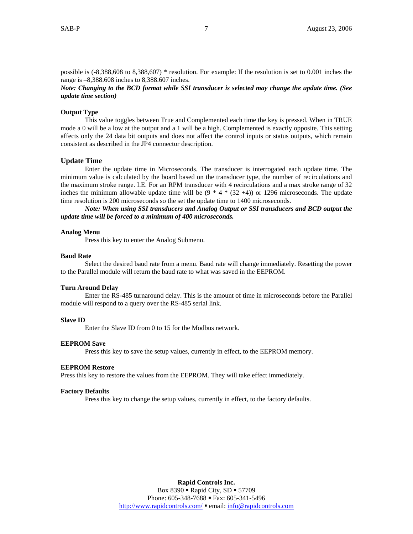possible is (-8,388,608 to 8,388,607) \* resolution. For example: If the resolution is set to 0.001 inches the range is –8,388.608 inches to 8,388.607 inches.

*Note: Changing to the BCD format while SSI transducer is selected may change the update time. (See update time section)* 

#### **Output Type**

This value toggles between True and Complemented each time the key is pressed. When in TRUE mode a 0 will be a low at the output and a 1 will be a high. Complemented is exactly opposite. This setting affects only the 24 data bit outputs and does not affect the control inputs or status outputs, which remain consistent as described in the JP4 connector description.

#### **Update Time**

Enter the update time in Microseconds. The transducer is interrogated each update time. The minimum value is calculated by the board based on the transducer type, the number of recirculations and the maximum stroke range. I.E. For an RPM transducer with 4 recirculations and a max stroke range of 32 inches the minimum allowable update time will be  $(9 * 4 * (32 +4))$  or 1296 microseconds. The update time resolution is 200 microseconds so the set the update time to 1400 microseconds.

*Note: When using SSI transducers and Analog Output or SSI transducers and BCD output the update time will be forced to a minimum of 400 microseconds.* 

#### **Analog Menu**

Press this key to enter the Analog Submenu.

#### **Baud Rate**

Select the desired baud rate from a menu. Baud rate will change immediately. Resetting the power to the Parallel module will return the baud rate to what was saved in the EEPROM.

#### **Turn Around Delay**

Enter the RS-485 turnaround delay. This is the amount of time in microseconds before the Parallel module will respond to a query over the RS-485 serial link.

#### **Slave ID**

Enter the Slave ID from 0 to 15 for the Modbus network.

#### **EEPROM Save**

Press this key to save the setup values, currently in effect, to the EEPROM memory.

#### **EEPROM Restore**

Press this key to restore the values from the EEPROM. They will take effect immediately.

#### **Factory Defaults**

Press this key to change the setup values, currently in effect, to the factory defaults.

**Rapid Controls Inc.**  Box  $8390$   $\blacksquare$  Rapid City, SD  $\blacksquare$  57709 Phone: 605-348-7688 • Fax: 605-341-5496 http://www.rapidcontrols.com/  $\bullet$  email: info@rapidcontrols.com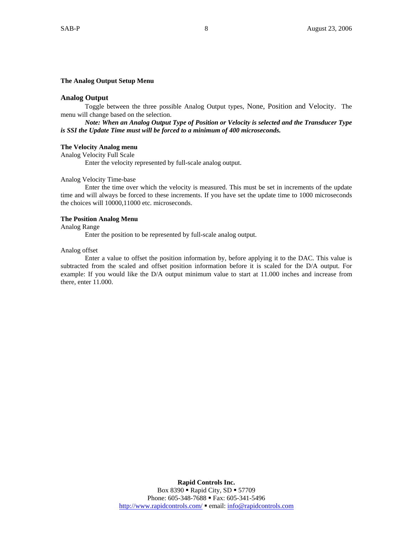#### **The Analog Output Setup Menu**

#### **Analog Output**

Toggle between the three possible Analog Output types, None, Position and Velocity. The menu will change based on the selection.

*Note: When an Analog Output Type of Position or Velocity is selected and the Transducer Type is SSI the Update Time must will be forced to a minimum of 400 microseconds.* 

#### **The Velocity Analog menu**

Analog Velocity Full Scale Enter the velocity represented by full-scale analog output.

#### Analog Velocity Time-base

Enter the time over which the velocity is measured. This must be set in increments of the update time and will always be forced to these increments. If you have set the update time to 1000 microseconds the choices will 10000,11000 etc. microseconds.

#### **The Position Analog Menu**

Analog Range

Enter the position to be represented by full-scale analog output.

#### Analog offset

Enter a value to offset the position information by, before applying it to the DAC. This value is subtracted from the scaled and offset position information before it is scaled for the D/A output. For example: If you would like the D/A output minimum value to start at 11.000 inches and increase from there, enter 11.000.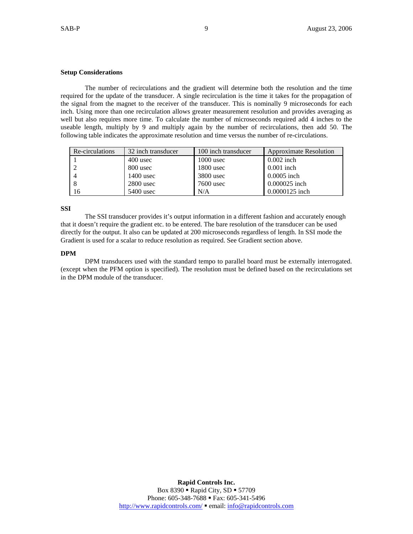# **Setup Considerations**

The number of recirculations and the gradient will determine both the resolution and the time required for the update of the transducer. A single recirculation is the time it takes for the propagation of the signal from the magnet to the receiver of the transducer. This is nominally 9 microseconds for each inch. Using more than one recirculation allows greater measurement resolution and provides averaging as well but also requires more time. To calculate the number of microseconds required add 4 inches to the useable length, multiply by 9 and multiply again by the number of recirculations, then add 50. The following table indicates the approximate resolution and time versus the number of re-circulations.

| Re-circulations | 32 inch transducer | 100 inch transducer | <b>Approximate Resolution</b> |
|-----------------|--------------------|---------------------|-------------------------------|
|                 | 400 usec           | $1000$ usec         | $0.002$ inch                  |
|                 | 800 usec           | $1800$ usec         | $0.001$ inch                  |
|                 | $1400$ usec        | $3800$ usec         | $0.0005$ inch                 |
|                 | $2800$ usec        | 7600 usec           | 0.000025 inch                 |
| 16              | 5400 usec          | N/A                 | 0.0000125 inch                |

**SSI** 

The SSI transducer provides it's output information in a different fashion and accurately enough that it doesn't require the gradient etc. to be entered. The bare resolution of the transducer can be used directly for the output. It also can be updated at 200 microseconds regardless of length. In SSI mode the Gradient is used for a scalar to reduce resolution as required. See Gradient section above.

# **DPM**

DPM transducers used with the standard tempo to parallel board must be externally interrogated. (except when the PFM option is specified). The resolution must be defined based on the recirculations set in the DPM module of the transducer.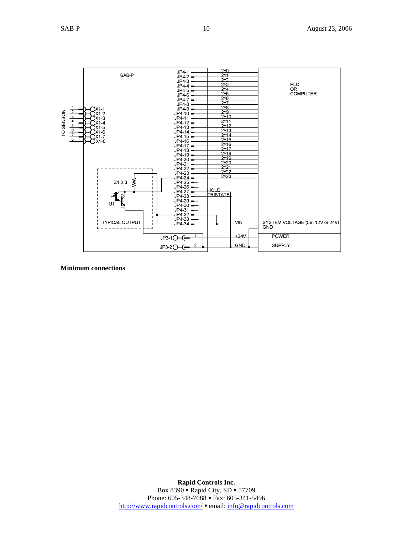

**Minimum connections**